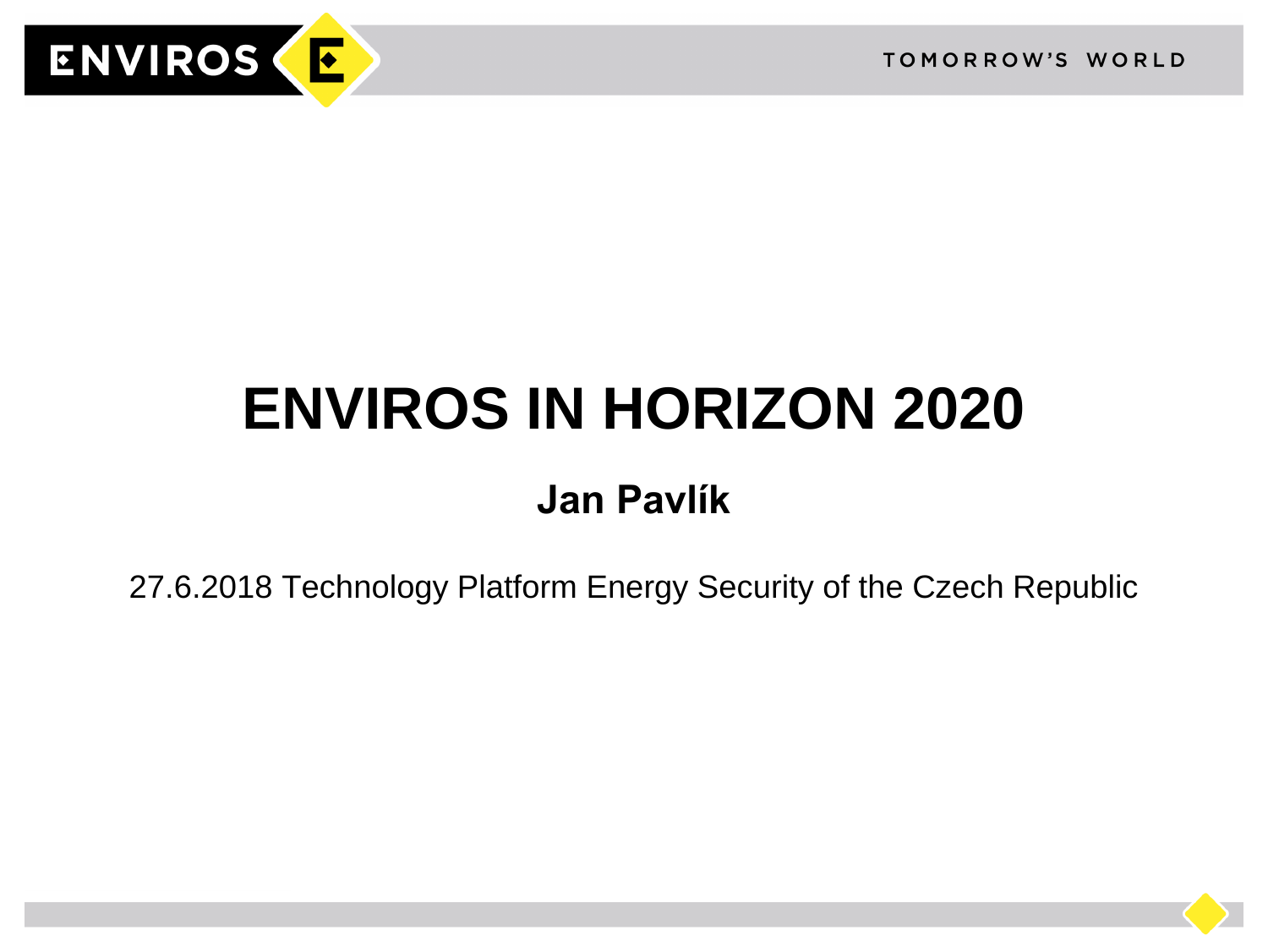

# **ENVIROS IN HORIZON 2020**

# **Jan Pavlík**

27.6.2018 Technology Platform Energy Security of the Czech Republic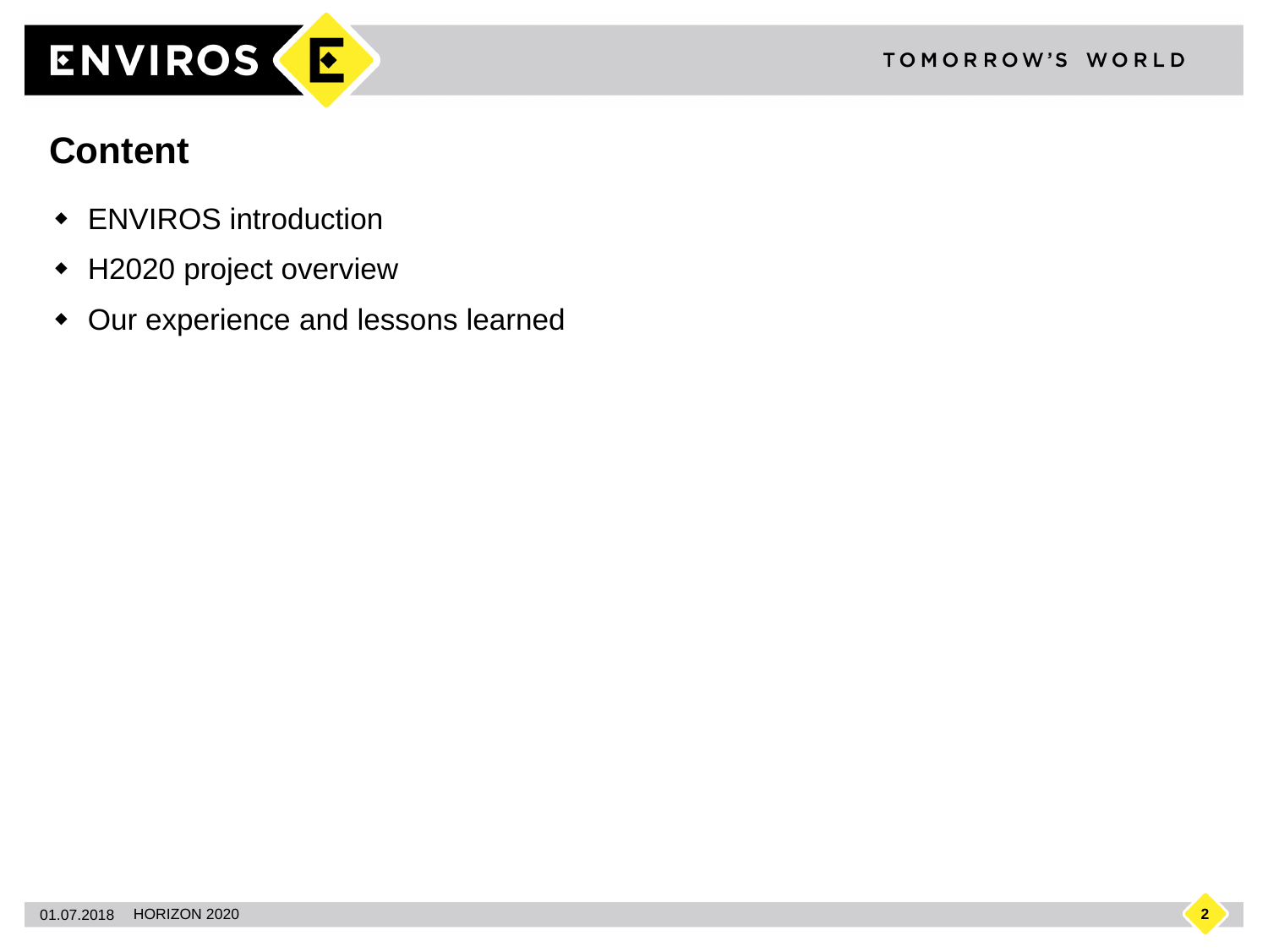

#### **Content**

- ENVIROS introduction
- H2020 project overview
- Our experience and lessons learned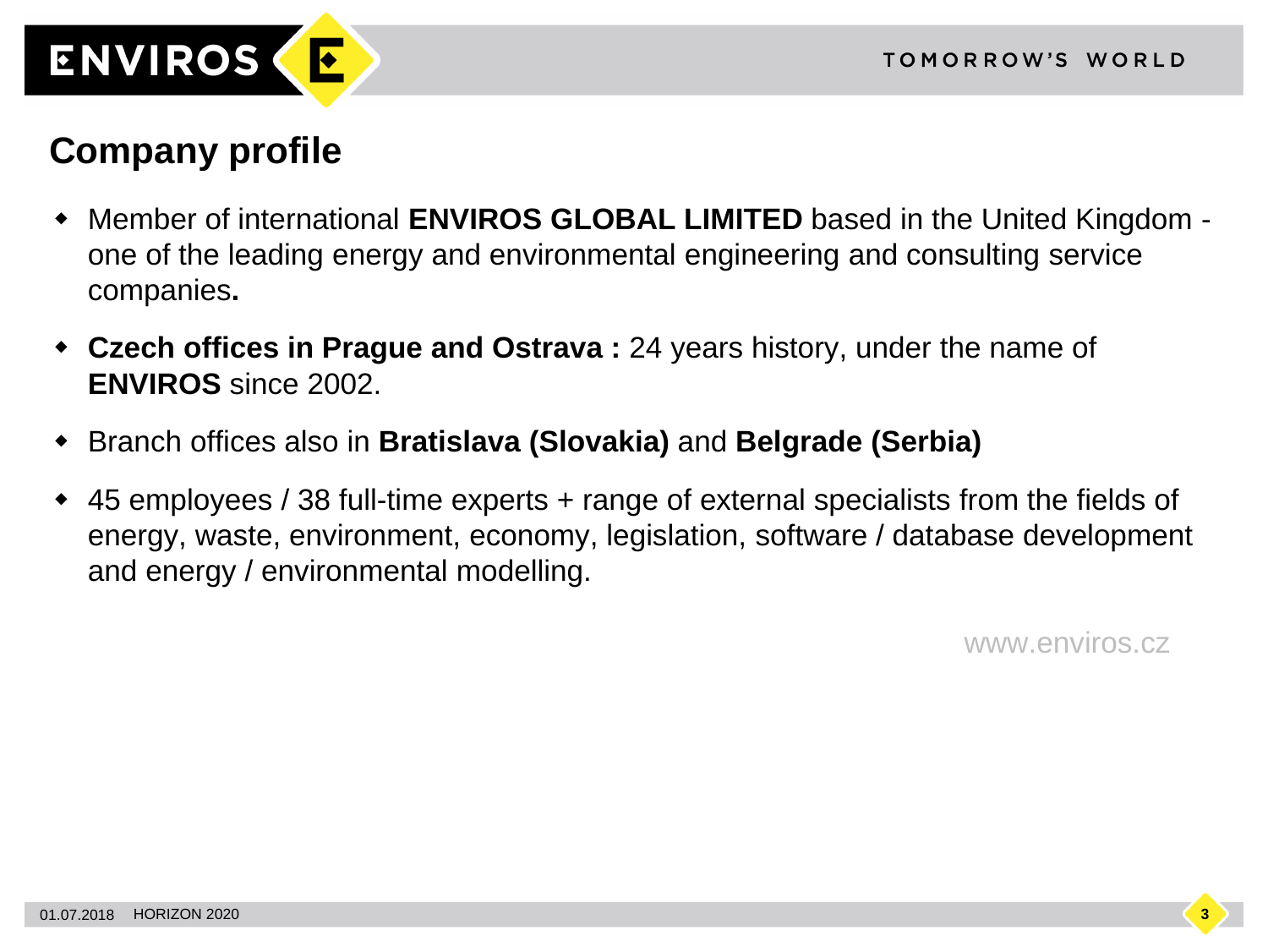

#### **Company profile**

- Member of international **ENVIROS GLOBAL LIMITED** based in the United Kingdom one of the leading energy and environmental engineering and consulting service companies**.**
- **Czech offices in Prague and Ostrava :** 24 years history, under the name of **ENVIROS** since 2002.
- Branch offices also in **Bratislava (Slovakia)** and **Belgrade (Serbia)**
- 45 employees / 38 full-time experts + range of external specialists from the fields of energy, waste, environment, economy, legislation, software / database development and energy / environmental modelling.

www.enviros.cz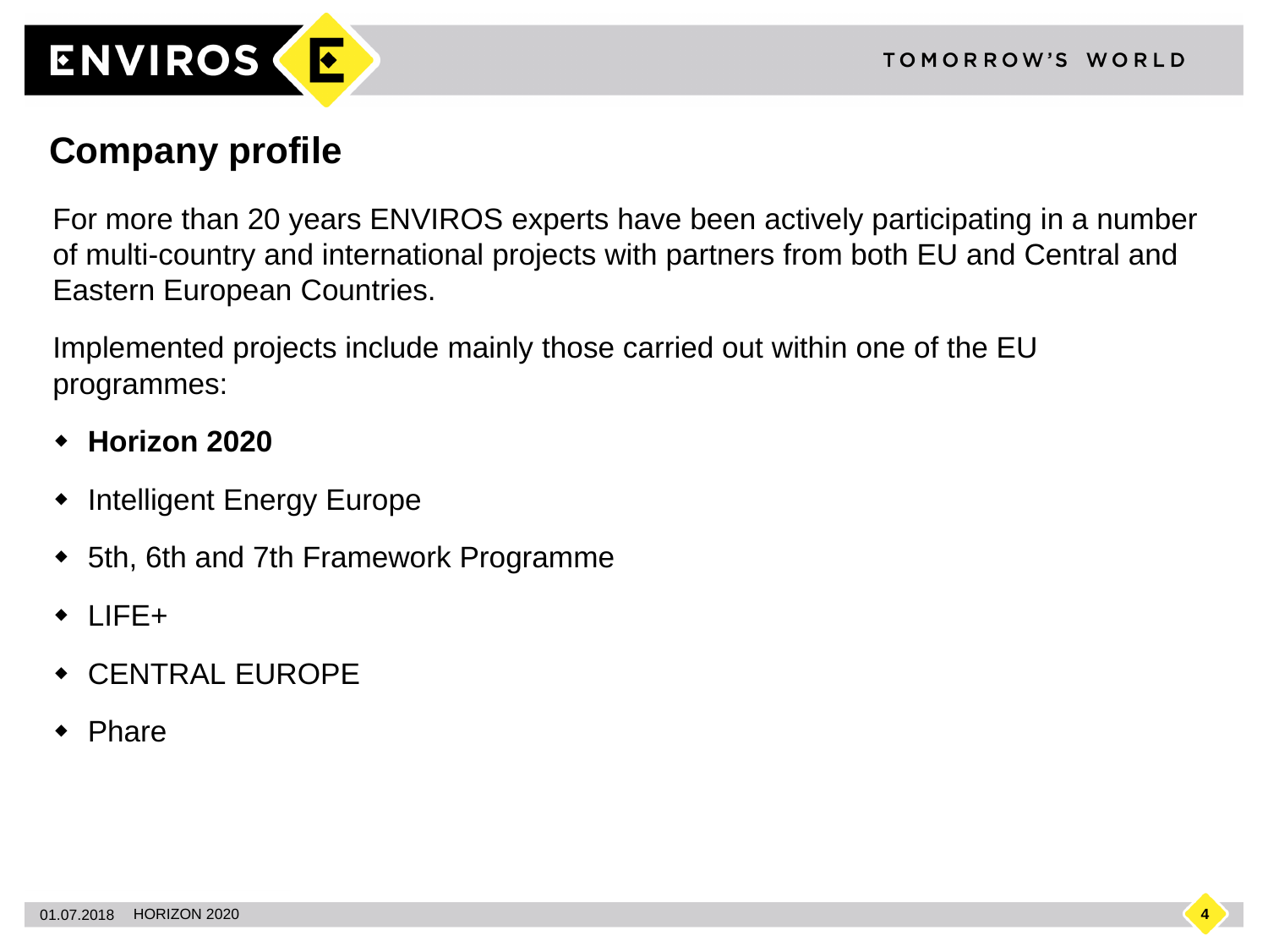

#### **Company profile**

For more than 20 years ENVIROS experts have been actively participating in a number of multi-country and international projects with partners from both EU and Central and Eastern European Countries.

Implemented projects include mainly those carried out within one of the EU programmes:

- **Horizon 2020**
- Intelligent Energy Europe
- 5th, 6th and 7th Framework Programme
- $\bullet$  LIFE+
- CENTRAL EUROPE
- Phare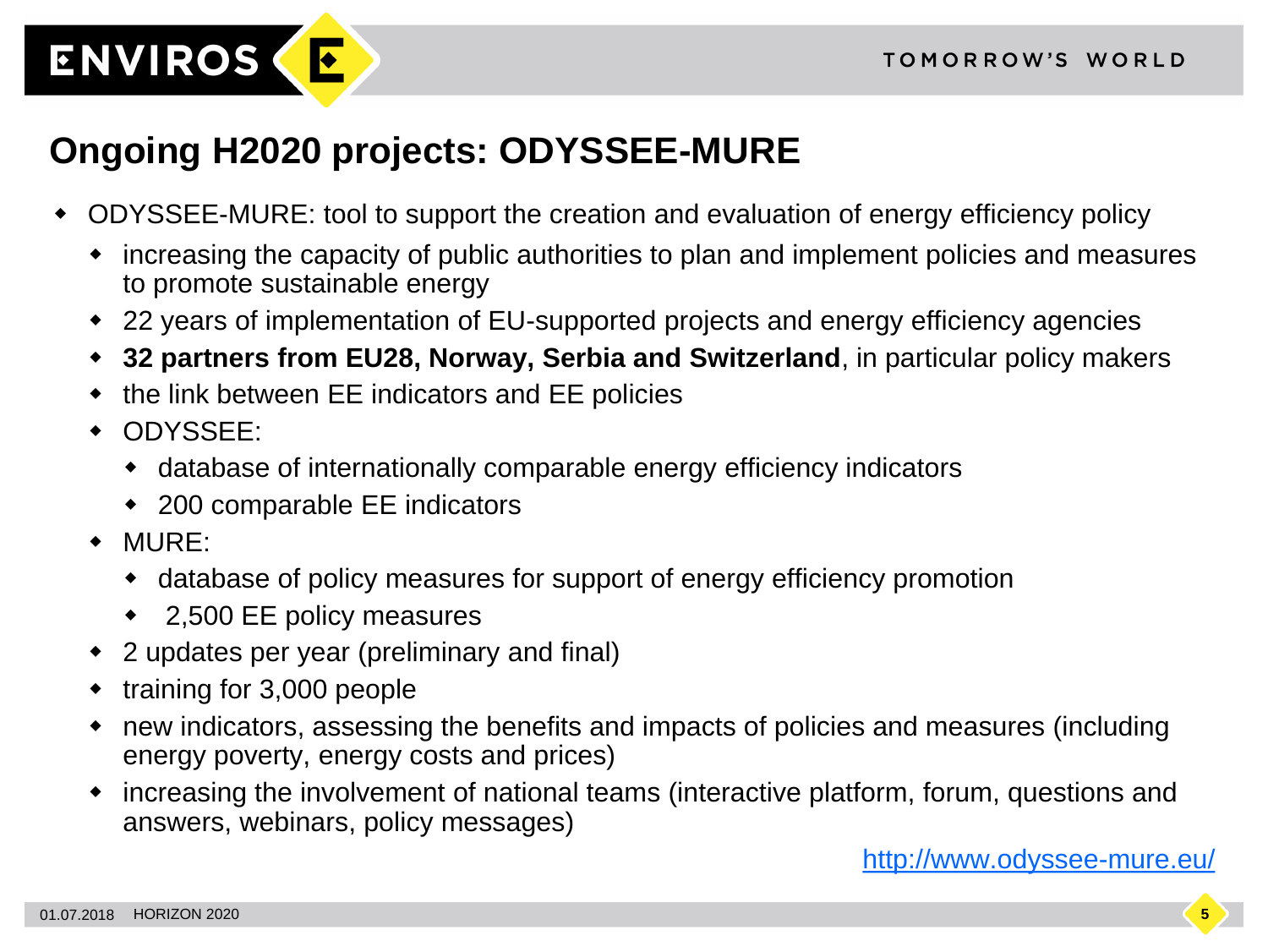

## **Ongoing H2020 projects: ODYSSEE-MURE**

- ODYSSEE-MURE: tool to support the creation and evaluation of energy efficiency policy
	- increasing the capacity of public authorities to plan and implement policies and measures to promote sustainable energy
	- 22 years of implementation of EU-supported projects and energy efficiency agencies
	- **32 partners from EU28, Norway, Serbia and Switzerland**, in particular policy makers
	- the link between EE indicators and EE policies
	- ODYSSEE:
		- database of internationally comparable energy efficiency indicators
		- 200 comparable EE indicators
	- MURE:
		- database of policy measures for support of energy efficiency promotion
		- ◆ 2,500 EE policy measures
	- 2 updates per year (preliminary and final)
	- training for 3,000 people
	- new indicators, assessing the benefits and impacts of policies and measures (including energy poverty, energy costs and prices)
	- increasing the involvement of national teams (interactive platform, forum, questions and answers, webinars, policy messages)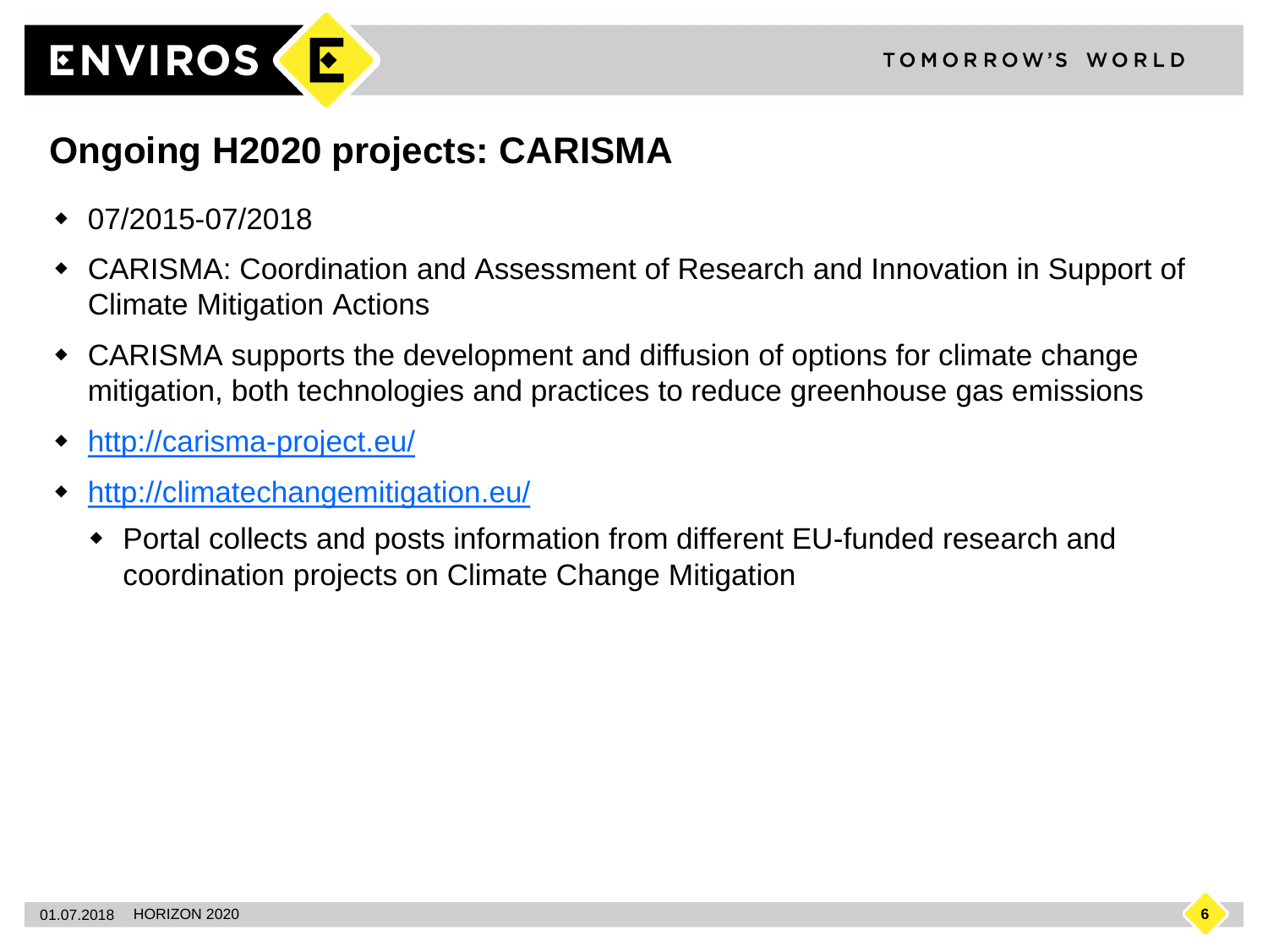

#### **Ongoing H2020 projects: CARISMA**

- 07/2015-07/2018
- CARISMA: Coordination and Assessment of Research and Innovation in Support of Climate Mitigation Actions
- CARISMA supports the development and diffusion of options for climate change mitigation, both technologies and practices to reduce greenhouse gas emissions
- [http://carisma-project.eu/](http://climatechangemitigation.eu/)
- <http://climatechangemitigation.eu/>
	- Portal collects and posts information from different EU-funded research and coordination projects on Climate Change Mitigation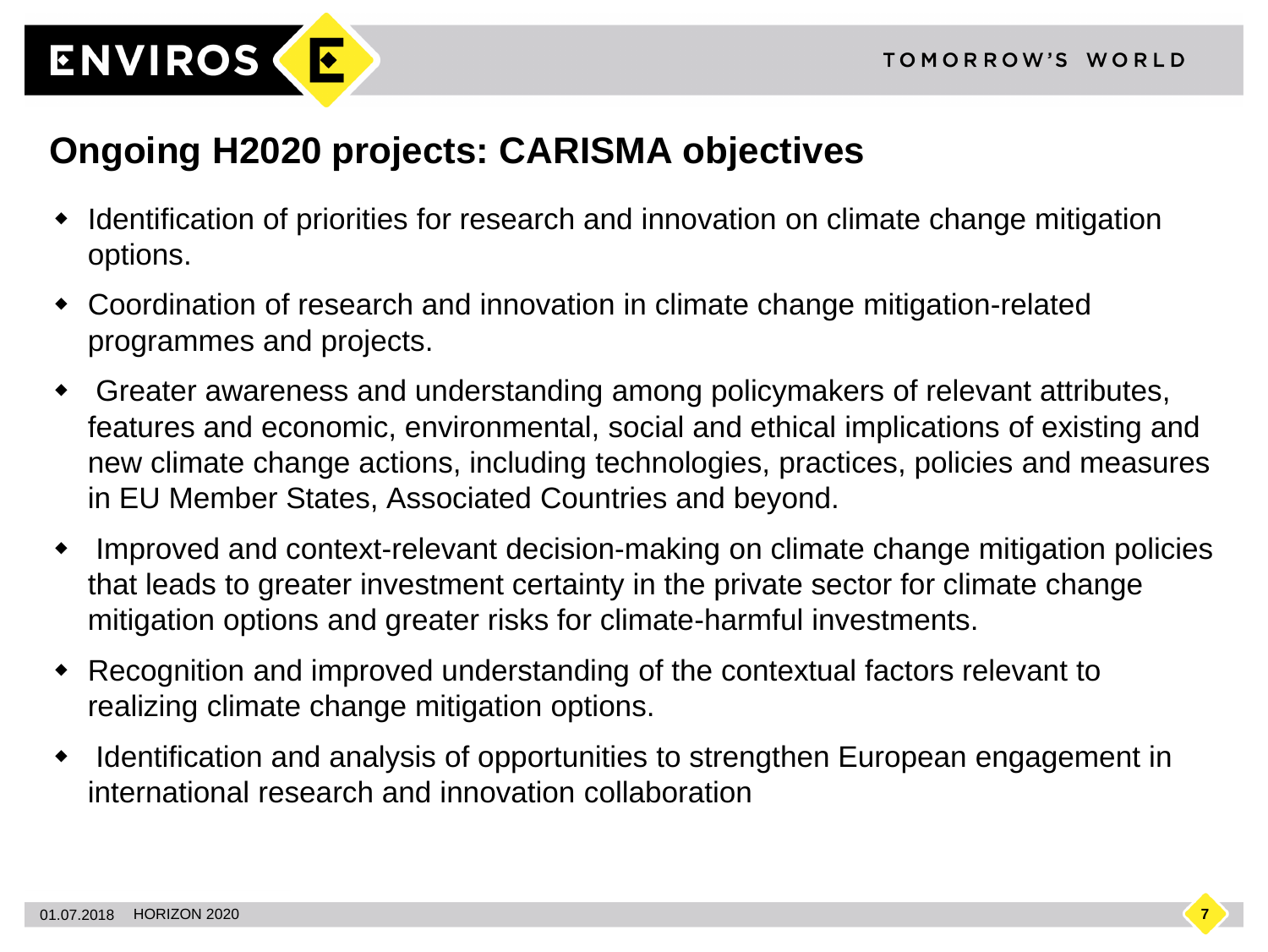

#### **Ongoing H2020 projects: CARISMA objectives**

- Identification of priorities for research and innovation on climate change mitigation options.
- Coordination of research and innovation in climate change mitigation-related programmes and projects.
- Greater awareness and understanding among policymakers of relevant attributes, features and economic, environmental, social and ethical implications of existing and new climate change actions, including technologies, practices, policies and measures in EU Member States, Associated Countries and beyond.
- Improved and context-relevant decision-making on climate change mitigation policies that leads to greater investment certainty in the private sector for climate change mitigation options and greater risks for climate-harmful investments.
- Recognition and improved understanding of the contextual factors relevant to realizing climate change mitigation options.
- Identification and analysis of opportunities to strengthen European engagement in international research and innovation collaboration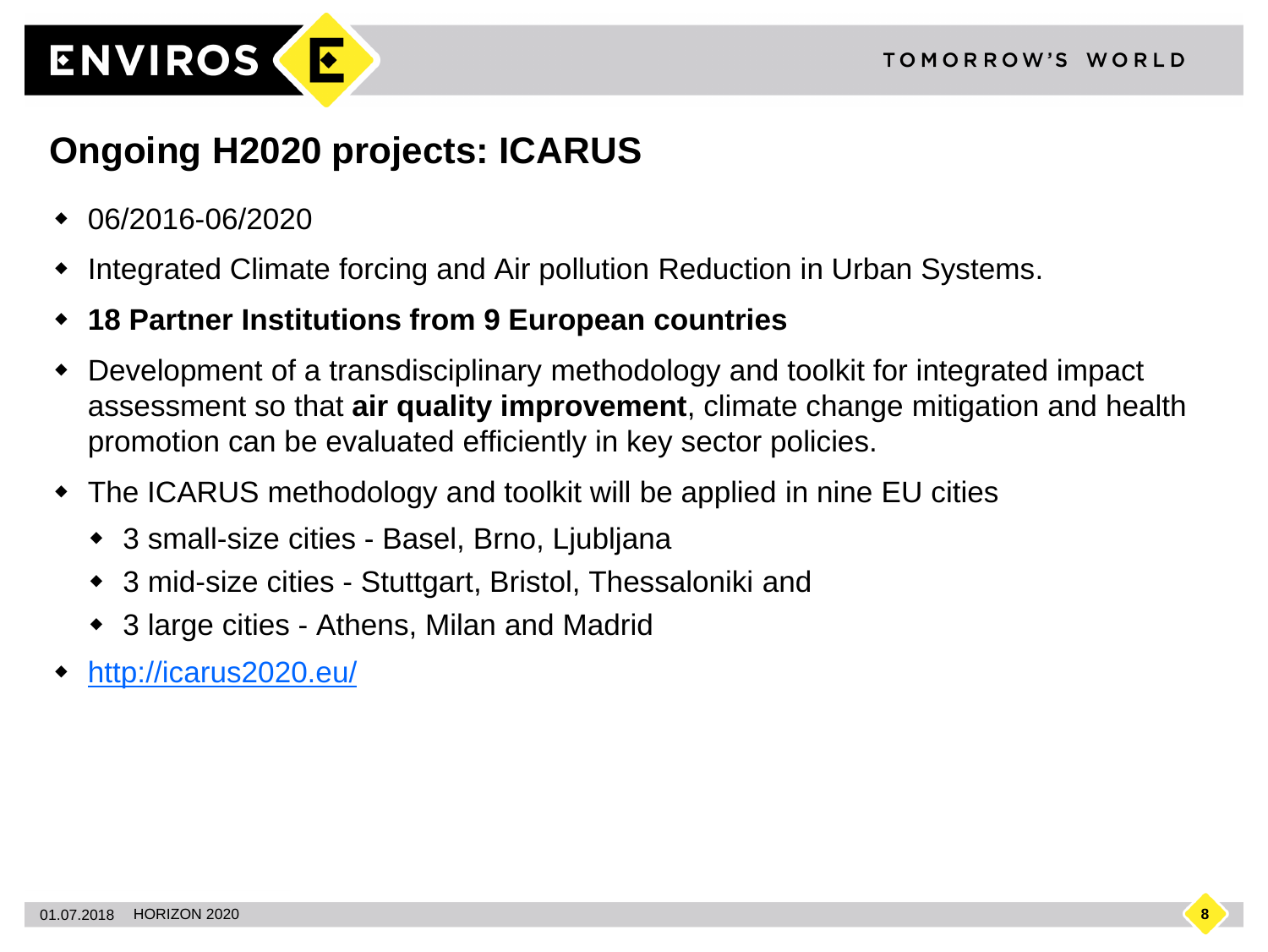

## **Ongoing H2020 projects: ICARUS**

- 06/2016-06/2020
- Integrated Climate forcing and Air pollution Reduction in Urban Systems.
- **18 Partner Institutions from 9 European countries**
- Development of a transdisciplinary methodology and toolkit for integrated impact assessment so that **air quality improvement**, climate change mitigation and health promotion can be evaluated efficiently in key sector policies.
- The ICARUS methodology and toolkit will be applied in nine EU cities
	- ◆ 3 small-size cities Basel, Brno, Ljubljana
	- 3 mid-size cities Stuttgart, Bristol, Thessaloniki and
	- 3 large cities Athens, Milan and Madrid
- <http://icarus2020.eu/>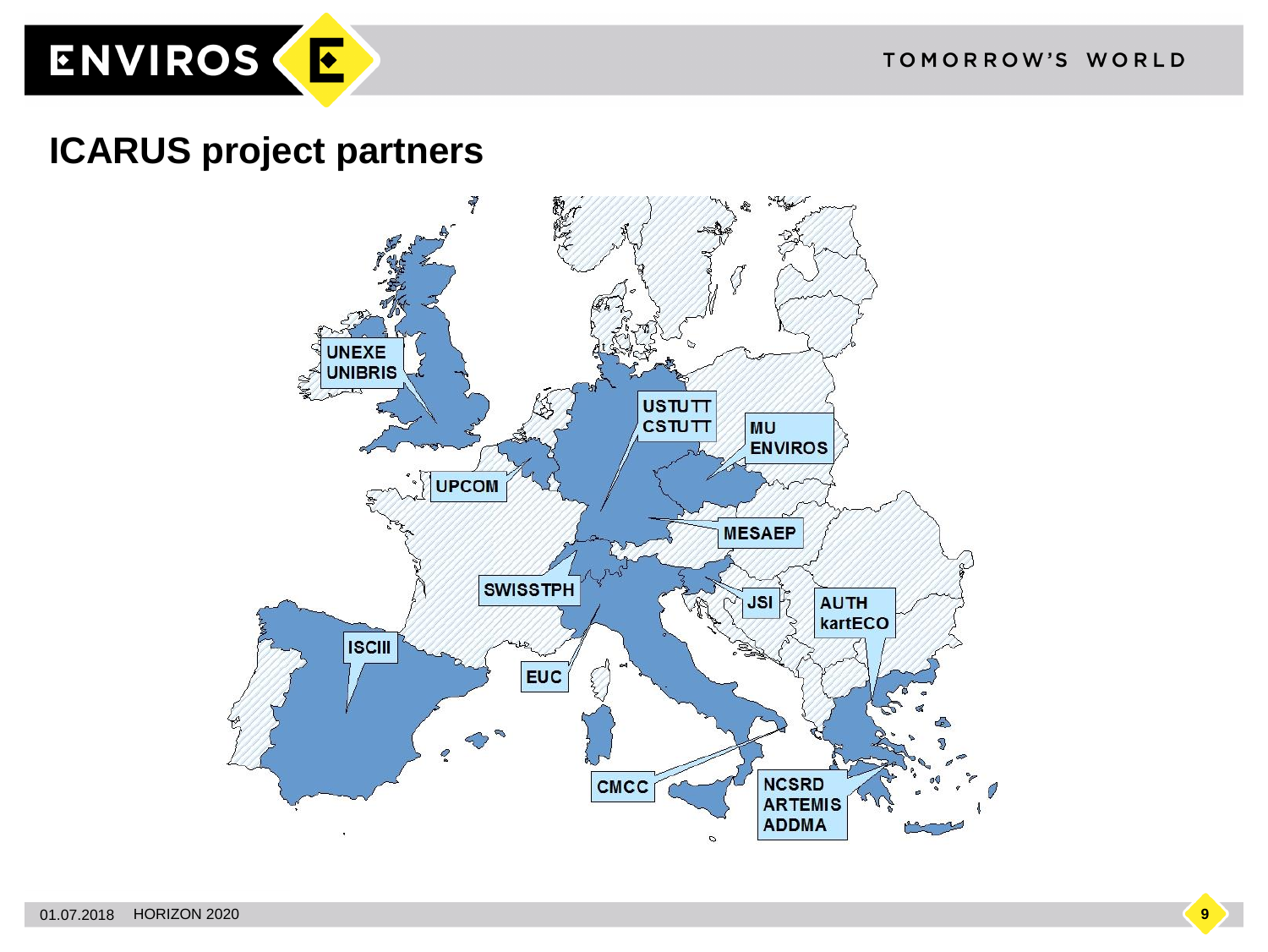

#### **ICARUS project partners**

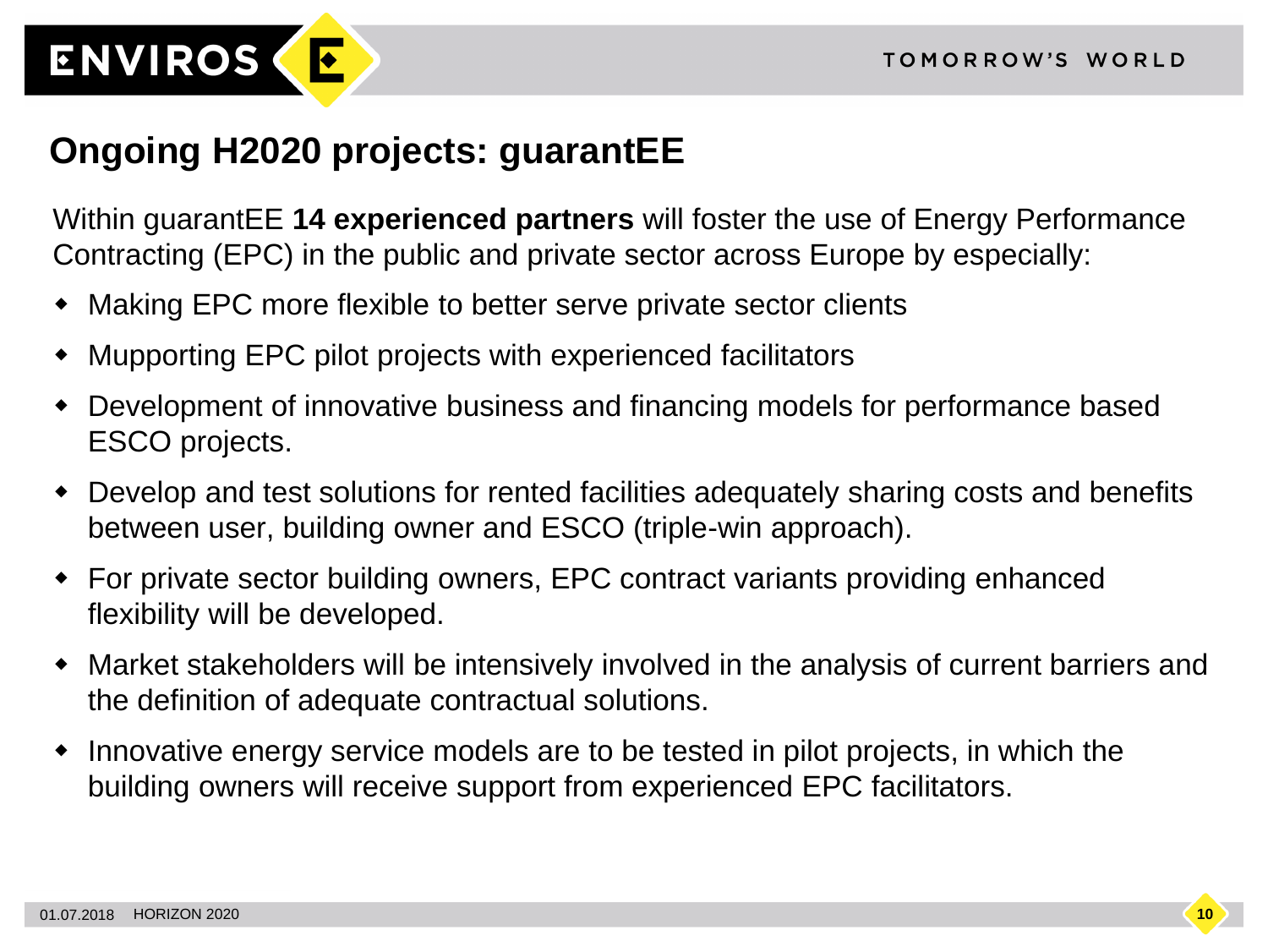

#### **Ongoing H2020 projects: guarantEE**

Within guarantEE **14 experienced partners** will foster the use of Energy Performance Contracting (EPC) in the public and private sector across Europe by especially:

- Making EPC more flexible to better serve private sector clients
- Mupporting EPC pilot projects with experienced facilitators
- Development of innovative business and financing models for performance based ESCO projects.
- Develop and test solutions for rented facilities adequately sharing costs and benefits between user, building owner and ESCO (triple-win approach).
- For private sector building owners, EPC contract variants providing enhanced flexibility will be developed.
- Market stakeholders will be intensively involved in the analysis of current barriers and the definition of adequate contractual solutions.
- Innovative energy service models are to be tested in pilot projects, in which the building owners will receive support from experienced EPC facilitators.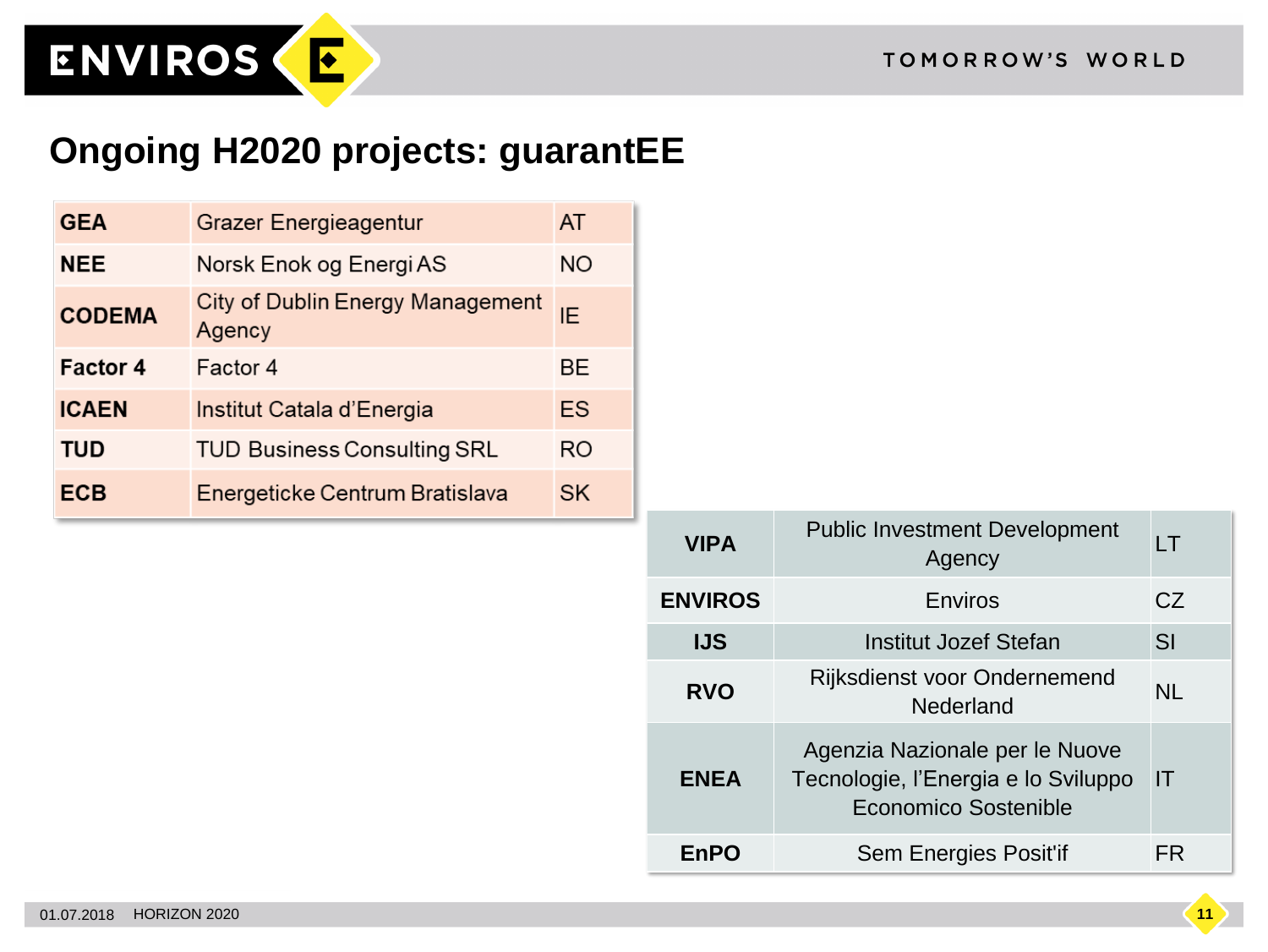

ENVIROS (E

| <b>GEA</b>      | <b>Grazer Energieagentur</b>               | AT        |
|-----------------|--------------------------------------------|-----------|
| <b>NEE</b>      | Norsk Enok og Energi AS                    | NO.       |
| <b>CODEMA</b>   | City of Dublin Energy Management<br>Agency | IE        |
| <b>Factor 4</b> | Factor 4                                   | BE.       |
| <b>ICAEN</b>    | Institut Catala d'Energia                  | ES        |
| <b>TUD</b>      | <b>TUD Business Consulting SRL</b>         | RO        |
| ECB             | Energeticke Centrum Bratislava             | <b>SK</b> |

| <b>VIPA</b>    | <b>Public Investment Development</b><br>Agency                                                       | LT        |
|----------------|------------------------------------------------------------------------------------------------------|-----------|
| <b>ENVIROS</b> | Enviros                                                                                              | CZ        |
| <b>IJS</b>     | <b>Institut Jozef Stefan</b>                                                                         | SI        |
| <b>RVO</b>     | <b>Rijksdienst voor Ondernemend</b><br>Nederland                                                     | <b>NL</b> |
| <b>ENEA</b>    | Agenzia Nazionale per le Nuove<br>Tecnologie, l'Energia e lo Sviluppo<br><b>Economico Sostenible</b> | IT        |
| <b>EnPO</b>    | <b>Sem Energies Posit'if</b>                                                                         | FR        |

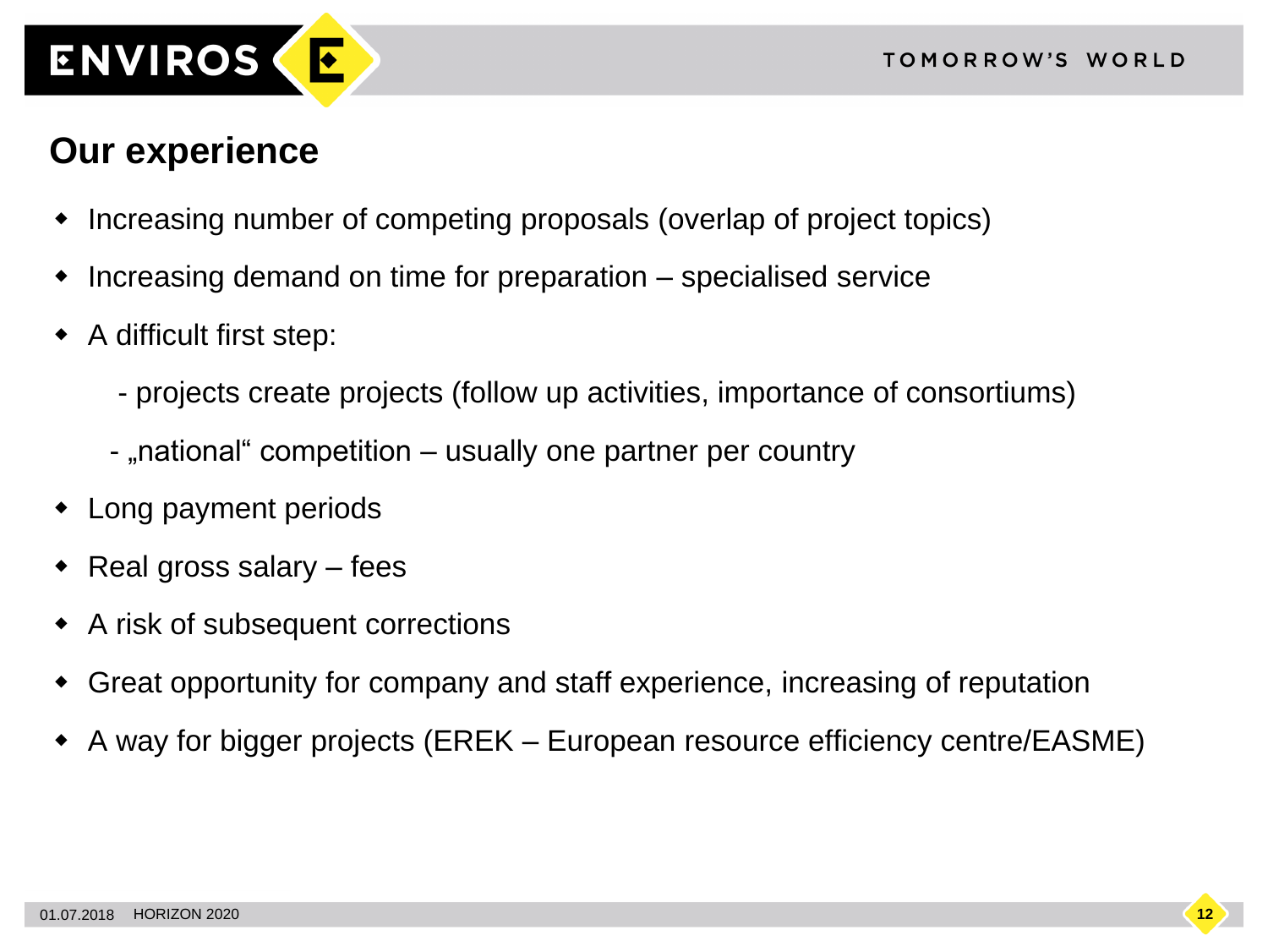

#### **Our experience**

- Increasing number of competing proposals (overlap of project topics)
- Increasing demand on time for preparation specialised service
- A difficult first step:
	- projects create projects (follow up activities, importance of consortiums)
	- "national" competition usually one partner per country
- Long payment periods
- Real gross salary fees
- A risk of subsequent corrections
- Great opportunity for company and staff experience, increasing of reputation
- A way for bigger projects (EREK European resource efficiency centre/EASME)